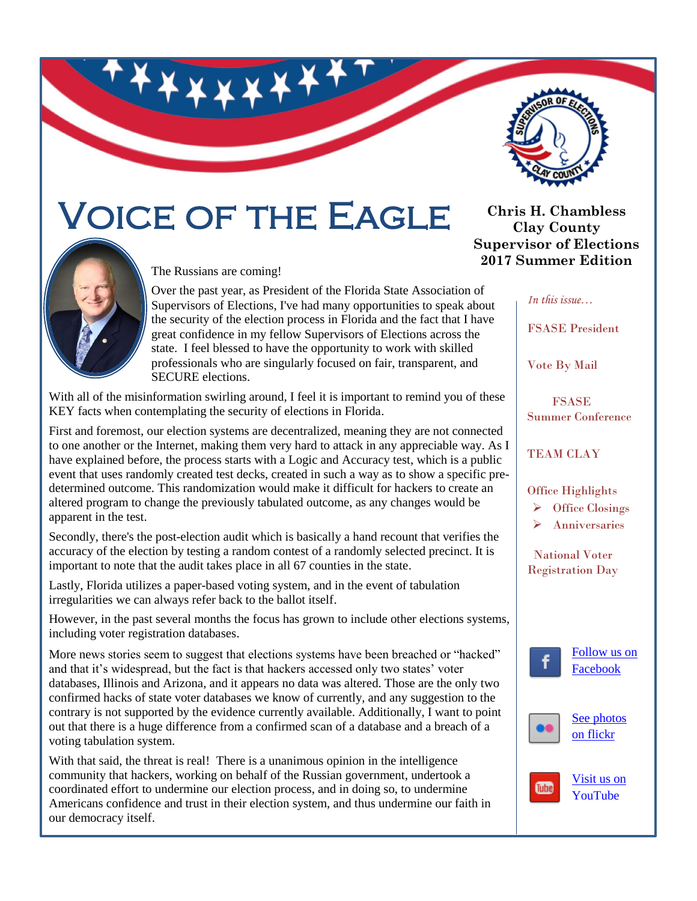

# Voice of the Eagle



The Russians are coming!

Over the past year, as President of the Florida State Association of Supervisors of Elections, I've had many opportunities to speak about the security of the election process in Florida and the fact that I have great confidence in my fellow Supervisors of Elections across the state. I feel blessed to have the opportunity to work with skilled professionals who are singularly focused on fair, transparent, and SECURE elections.

With all of the misinformation swirling around, I feel it is important to remind you of these KEY facts when contemplating the security of elections in Florida.

First and foremost, our election systems are decentralized, meaning they are not connected to one another or the Internet, making them very hard to attack in any appreciable way. As I have explained before, the process starts with a Logic and Accuracy test, which is a public event that uses randomly created test decks, created in such a way as to show a specific predetermined outcome. This randomization would make it difficult for hackers to create an altered program to change the previously tabulated outcome, as any changes would be apparent in the test.

Secondly, there's the post-election audit which is basically a hand recount that verifies the accuracy of the election by testing a random contest of a randomly selected precinct. It is important to note that the audit takes place in all 67 counties in the state.

Lastly, Florida utilizes a paper-based voting system, and in the event of tabulation irregularities we can always refer back to the ballot itself.

However, in the past several months the focus has grown to include other elections systems, including voter registration databases.

More news stories seem to suggest that elections systems have been breached or "hacked" and that it's widespread, but the fact is that hackers accessed only two states' voter databases, Illinois and Arizona, and it appears no data was altered. Those are the only two confirmed hacks of state voter databases we know of currently, and any suggestion to the contrary is not supported by the evidence currently available. Additionally, I want to point out that there is a huge difference from a confirmed scan of a database and a breach of a voting tabulation system.

With that said, the threat is real! There is a unanimous opinion in the intelligence community that hackers, working on behalf of the Russian government, undertook a coordinated effort to undermine our election process, and in doing so, to undermine Americans confidence and trust in their election system, and thus undermine our faith in our democracy itself.

**Chris H. Chambless Clay County Supervisor of Elections 2017 Summer Edition**

*In this issue…*

FSASE President

Vote By Mail

 FSASE Summer Conference

#### TEAM CLAY

Office Highlights

 $\triangleright$  Office Closings

Anniversaries

 National Voter Registration Day





**Tube** 

[on flickr](https://www.flickr.com/photos/clayelections/sets/)

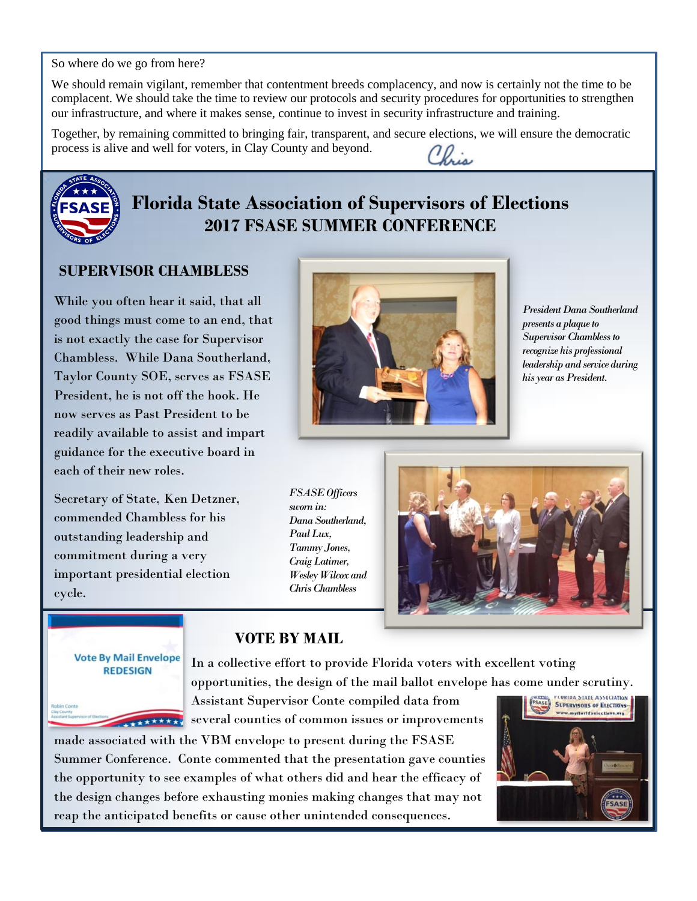So where do we go from here?

We should remain vigilant, remember that contentment breeds complacency, and now is certainly not the time to be complacent. We should take the time to review our protocols and security procedures for opportunities to strengthen our infrastructure, and where it makes sense, continue to invest in security infrastructure and training.

Together, by remaining committed to bringing fair, transparent, and secure elections, we will ensure the democratic process is alive and well for voters, in Clay County and beyond. Chris



## **Florida State Association of Supervisors of Elections 2017 FSASE SUMMER CONFERENCE**

#### **SUPERVISOR CHAMBLESS**

While you often hear it said, that all good things must come to an end, that is not exactly the case for Supervisor Chambless. While Dana Southerland, Taylor County SOE, serves as FSASE President, he is not off the hook. He now serves as Past President to be readily available to assist and impart guidance for the executive board in each of their new roles.

Secretary of State, Ken Detzner, commended Chambless for his outstanding leadership and commitment during a very important presidential election cycle.



*PresidentDana Southerland presents a plaque to SupervisorChambless to recognize his professional leadership and service during his year as President.*

*FSASE Officers sworn in: Dana Southerland, Paul Lux, Tammy Jones, Craig Latimer, Wesley Wilcox and Chris Chambless*



#### **Vote By Mail Envelope REDESIGN**

In a collective effort to provide Florida voters with excellent voting opportunities, the design of the mail ballot envelope has come under scrutiny.

Assistant Supervisor Conte compiled data from several counties of common issues or improvements

made associated with the VBM envelope to present during the FSASE Summer Conference. Conte commented that the presentation gave counties the opportunity to see examples of what others did and hear the efficacy of the design changes before exhausting monies making changes that may not reap the anticipated benefits or cause other unintended consequences.

 **VOTE BY MAIL**

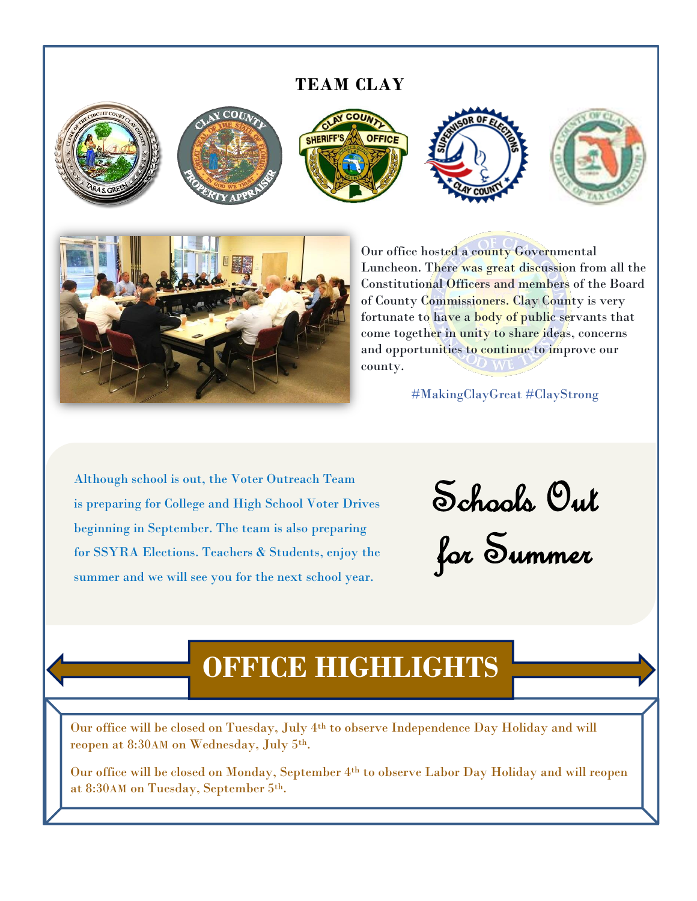#### **TEAM CLAY**







Our office [hosted a county Governme](http://www.google.com/url?sa=i&rct=j&q=&esrc=s&source=images&cd=&cad=rja&uact=8&ved=0ahUKEwiN3fCD9-DUAhWGZCYKHertBrMQjRwIBw&url=http://maps.claycountygov.com/clayview/&psig=AFQjCNFexNh0GcJ2Rpc9gaP4wOaPSHRbxQ&ust=1498752245881179)ntal Luncheon. There was great discussion from all the Constitutional Officers and members of the Board of County Commissioners. Clay County is very fortunate to have a body of public servants that come together in unity to share ideas, concerns and opportunities to continue to improve our county.

[#MakingClayGreat](https://www.facebook.com/hashtag/makingclaygreat?source=feed_text&story_id=10154406393112187) [#ClayStrong](https://www.facebook.com/hashtag/claystrong?source=feed_text&story_id=10154406393112187)

Although school is out, the Voter Outreach Team is preparing for College and High School Voter Drives beginning in September. The team is also preparing for SSYRA Elections. Teachers & Students, enjoy the summer and we will see you for the next school year.

Schools Out for Summer

# **OFFICE HIGHLIGHTS**

Our office will be closed on Tuesday, July 4th to observe Independence Day Holiday and will reopen at 8:30AM on Wednesday, July 5th.

Our office will be closed on Monday, September 4th to observe Labor Day Holiday and will reopen at 8:30AM on Tuesday, September 5th.